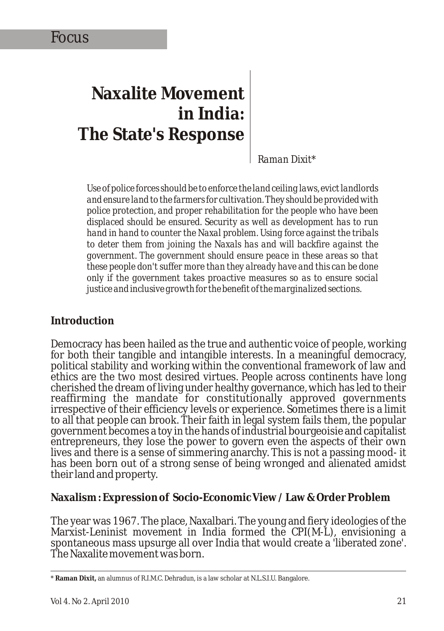# **Naxalite Movement in India: The State's Response**

*Raman Dixit\**

*Use of police forces should be to enforce the land ceiling laws, evict landlords and ensure land to the farmers for cultivation. They should be provided with police protection, and proper rehabilitation for the people who have been displaced should be ensured. Security as well as development has to run hand in hand to counter the Naxal problem. Using force against the tribals to deter them from joining the Naxals has and will backfire against the government. The government should ensure peace in these areas so that these people don't suffer more than they already have and this can be done only if the government takes proactive measures so as to ensure social justice and inclusive growth for the benefit of the marginalized sections.*

#### **Introduction**

Democracy has been hailed as the true and authentic voice of people, working for both their tangible and intangible interests. In a meaningful democracy, political stability and working within the conventional framework of law and ethics are the two most desired virtues. People across continents have long cherished the dream of living under healthy governance, which has led to their reaffirming the mandate for constitutionally approved governments irrespective of their efficiency levels or experience. Sometimes there is a limit to all that people can brook. Their faith in legal system fails them, the popular government becomes a toy in the hands of industrial bourgeoisie and capitalist entrepreneurs, they lose the power to govern even the aspects of their own lives and there is a sense of simmering anarchy. This is not a passing mood- it has been born out of a strong sense of being wronged and alienated amidst their land and property.

**Naxalism : Expression of Socio-Economic View / Law & Order Problem**

The year was 1967. The place, Naxalbari. The young and fiery ideologies of the Marxist-Leninist movement in India formed the CPI(M-L), envisioning a spontaneous mass upsurge all over India that would create a 'liberated zone'. The Naxalite movement was born.

<sup>\*</sup> **Raman Dixit,** an alumnus of R.I.M.C. Dehradun, is a law scholar at N.L.S.I.U. Bangalore.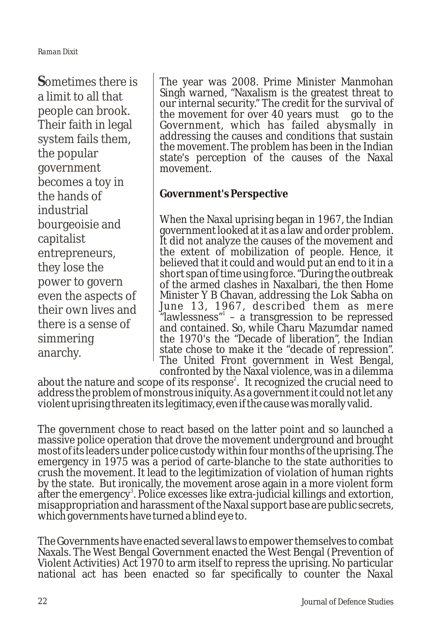**S**ometimes there is a limit to all that people can brook. Their faith in legal system fails them, the popular government becomes a toy in the hands of industrial bourgeoisie and capitalist entrepreneurs, they lose the power to govern even the aspects of their own lives and there is a sense of simmering anarchy.

The year was 2008. Prime Minister Manmohan Singh warned, "Naxalism is the greatest threat to our internal security." The credit for the survival of the movement for over 40 years must go to the Government, which has failed abysmally in addressing the causes and conditions that sustain the movement. The problem has been in the Indian state's perception of the causes of the Naxal movement.

**Government's Perspective**

When the Naxal uprising began in 1967, the Indian government looked at it as a law and order problem. It did not analyze the causes of the movement and the extent of mobilization of people. Hence, it believed that it could and would put an end to it in a short span of time using force. "During the outbreak of the armed clashes in Naxalbari, the then Home Minister Y B Chavan, addressing the Lok Sabha on June 13, 1967, described them as mere "lawlessness" – a transgression to be repressed and contained. So, while Charu Mazumdar named the 1970's the "Decade of liberation", the Indian state chose to make it the "decade of repression". The United Front government in West Bengal, confronted by the Naxal violence, was in a dilemma

about the nature and scope of its response<sup>2</sup>. It recognized the crucial need to address the problem of monstrous iniquity. As a government it could not let any violent uprising threaten its legitimacy, even if the cause was morally valid.

The government chose to react based on the latter point and so launched a massive police operation that drove the movement underground and brought most of its leaders under police custody within four months of the uprising. The emergency in 1975 was a period of carte-blanche to the state authorities to crush the movement. It lead to the legitimization of violation of human rights by the state. But ironically, the movement arose again in a more violent form after the emergency<sup>3</sup>. Police excesses like extra-judicial killings and extortion, misappropriation and harassment of the Naxal support base are public secrets, which governments have turned a blind eye to.

The Governments have enacted several laws to empower themselves to combat Naxals. The West Bengal Government enacted the West Bengal (Prevention of Violent Activities) Act 1970 to arm itself to repress the uprising. No particular national act has been enacted so far specifically to counter the Naxal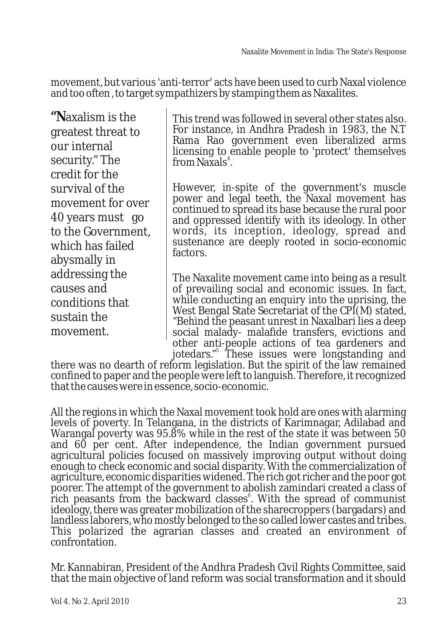movement, but various 'anti-terror' acts have been used to curb Naxal violence and too often , to target sympathizers by stamping them as Naxalites.

**"N**axalism is the greatest threat to our internal security." The credit for the survival of the movement for over 40 years must go to the Government, which has failed abysmally in addressing the causes and conditions that sustain the movement.

This trend was followed in several other states also. For instance, in Andhra Pradesh in 1983, the N.T Rama Rao government even liberalized arms licensing to enable people to 'protect' themselves from Naxals<sup>4</sup>.

However, in-spite of the government's muscle power and legal teeth, the Naxal movement has continued to spread its base because the rural poor and oppressed identify with its ideology. In other words, its inception, ideology, spread and sustenance are deeply rooted in socio-economic factors.

The Naxalite movement came into being as a result of prevailing social and economic issues. In fact, while conducting an enquiry into the uprising, the West Bengal State Secretariat of the CPI(M) stated, "Behind the peasant unrest in Naxalbari lies a deep social malady- malafide transfers, evictions and other anti-people actions of tea gardeners and jotedars." These issues were longstanding and

there was no dearth of reform legislation. But the spirit of the law remained confined to paper and the people were left to languish. Therefore, it recognized that the causes were in essence, socio-economic.

All the regions in which the Naxal movement took hold are ones with alarming levels of poverty. In Telangana, in the districts of Karimnagar, Adilabad and Warangal poverty was 95.8% while in the rest of the state it was between 50 and 60 per cent. After independence, the Indian government pursued agricultural policies focused on massively improving output without doing enough to check economic and social disparity. With the commercialization of agriculture, economic disparities widened. The rich got richer and the poor got poorer. The attempt of the government to abolish zamindari created a class of rich peasants from the backward classes<sup>6</sup>. With the spread of communist ideology, there was greater mobilization of the sharecroppers (bargadars) and landless laborers, who mostly belonged to the so called lower castes and tribes. This polarized the agrarian classes and created an environment of confrontation.

Mr. Kannabiran, President of the Andhra Pradesh Civil Rights Committee, said that the main objective of land reform was social transformation and it should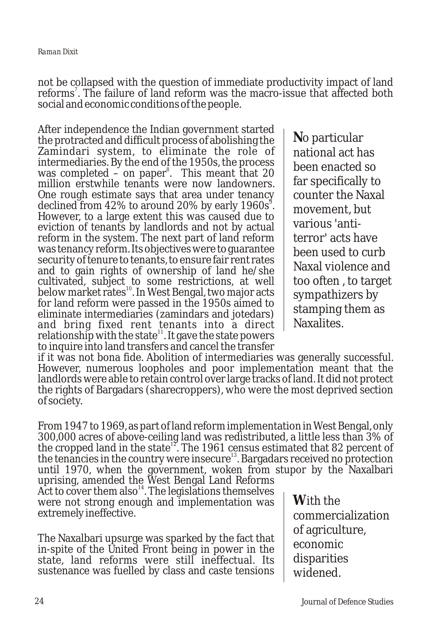not be collapsed with the question of immediate productivity impact of land reforms<sup>7</sup>. The failure of land reform was the macro-issue that affected both social and economic conditions of the people.

After independence the Indian government started the protracted and difficult process of abolishing the Zamindari system, to eliminate the role of intermediaries. By the end of the 1950s, the process was completed – on paper<sup>8</sup>. This meant that  $20$ million erstwhile tenants were now landowners. One rough estimate says that area under tenancy declined from 42% to around 20% by early 1960s<sup>9</sup>. However, to a large extent this was caused due to eviction of tenants by landlords and not by actual reform in the system. The next part of land reform was tenancy reform. Its objectives were to guarantee security of tenure to tenants, to ensure fair rent rates and to gain rights of ownership of land he/she cultivated, subject to some restrictions, at well below market rates<sup>10</sup>. In West Bengal, two major acts for land reform were passed in the 1950s aimed to eliminate intermediaries (zamindars and jotedars) and bring fixed rent tenants into a direct relationship with the state<sup>11</sup>. It gave the state powers to inquire into land transfers and cancel the transfer

**N**o particular national act has been enacted so far specifically to counter the Naxal movement, but various 'antiterror' acts have been used to curb Naxal violence and too often , to target sympathizers by stamping them as Naxalites.

if it was not bona fide. Abolition of intermediaries was generally successful. However, numerous loopholes and poor implementation meant that the landlords were able to retain control over large tracks of land. It did not protect the rights of Bargadars (sharecroppers), who were the most deprived section of society.

From 1947 to 1969, as part of land reform implementation in West Bengal, only 300,000 acres of above-ceiling land was redistributed, a little less than 3% of the cropped land in the state<sup>12</sup>. The 1961 census estimated that 82 percent of the tenancies in the country were insecure<sup>13</sup>. Bargadars received no protection until 1970, when the government, woken from stupor by the Naxalbari

uprising, amended the West Bengal Land Reforms Act to cover them also<sup> $14$ </sup>. The legislations themselves were not strong enough and implementation was extremely ineffective.

The Naxalbari upsurge was sparked by the fact that in-spite of the United Front being in power in the state, land reforms were still ineffectual. Its sustenance was fuelled by class and caste tensions

**W**ith the commercialization of agriculture, economic disparities widened.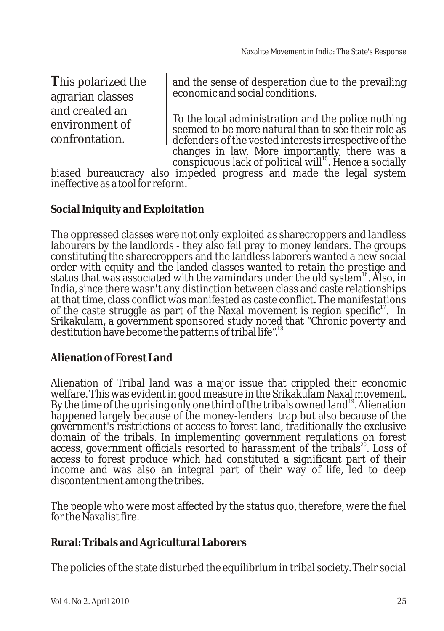**T**his polarized the agrarian classes and created an environment of confrontation.

and the sense of desperation due to the prevailing economic and social conditions.

To the local administration and the police nothing seemed to be more natural than to see their role as defenders of the vested interests irrespective of the changes in law. More importantly, there was a  $\alpha$  conspicuous lack of political will<sup>15</sup>. Hence a socially

biased bureaucracy also impeded progress and made the legal system ineffective as a tool for reform.

**Social Iniquity and Exploitation**

The oppressed classes were not only exploited as sharecroppers and landless labourers by the landlords - they also fell prey to money lenders. The groups constituting the sharecroppers and the landless laborers wanted a new social order with equity and the landed classes wanted to retain the prestige and status that was associated with the zamindars under the old system<sup>16</sup>. Also, in India, since there wasn't any distinction between class and caste relationships at that time, class conflict was manifested as caste conflict. The manifestations of the caste struggle as part of the Naxal movement is region specific<sup>17</sup>. In Srikakulam, a government sponsored study noted that "Chronic poverty and destitution have become the patterns of tribal life".<sup>18</sup>

**Alienation of Forest Land**

Alienation of Tribal land was a major issue that crippled their economic welfare. This was evident in good measure in the Srikakulam Naxal movement. By the time of the uprising only one third of the tribals owned land  $^{\text{19}}$ . Alienation happened largely because of the money-lenders' trap but also because of the government's restrictions of access to forest land, traditionally the exclusive domain of the tribals. In implementing government regulations on forest access, government officials resorted to harassment of the tribals<sup>20</sup>. Loss of access to forest produce which had constituted a significant part of their income and was also an integral part of their way of life, led to deep discontentment among the tribes.

The people who were most affected by the status quo, therefore, were the fuel for the Naxalist fire.

**Rural: Tribals and Agricultural Laborers**

The policies of the state disturbed the equilibrium in tribal society. Their social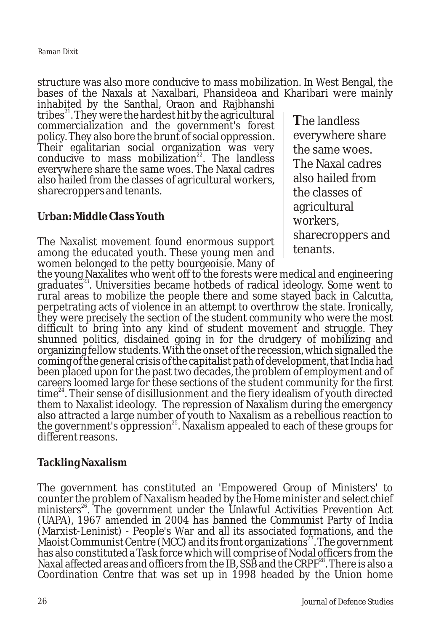structure was also more conducive to mass mobilization. In West Bengal, the bases of the Naxals at Naxalbari, Phansideoa and Kharibari were mainly

inhabited by the Santhal, Oraon and Rajbhanshi tribes<sup>21</sup>. They were the hardest hit by the agricultural commercialization and the government's forest policy. They also bore the brunt of social oppression. Their egalitarian social organization was very conducive to mass mobilization<sup>22</sup>. The landless everywhere share the same woes. The Naxal cadres also hailed from the classes of agricultural workers, sharecroppers and tenants.

## **Urban: Middle Class Youth**

The Naxalist movement found enormous support among the educated youth. These young men and women belonged to the petty bourgeoisie. Many of

**T**he landless everywhere share the same woes. The Naxal cadres also hailed from the classes of agricultural workers, sharecroppers and tenants.

the young Naxalites who went off to the forests were medical and engineering graduates<sup>23</sup>. Universities became hotbeds of radical ideology. Some went to rural areas to mobilize the people there and some stayed back in Calcutta, perpetrating acts of violence in an attempt to overthrow the state. Ironically, they were precisely the section of the student community who were the most difficult to bring into any kind of student movement and struggle. They shunned politics, disdained going in for the drudgery of mobilizing and organizing fellow students. With the onset of the recession, which signalled the coming of the general crisis of the capitalist path of development, that India had been placed upon for the past two decades, the problem of employment and of careers loomed large for these sections of the student community for the first  $time<sup>24</sup>$ . Their sense of disillusionment and the fiery idealism of youth directed them to Naxalist ideology. The repression of Naxalism during the emergency also attracted a large number of youth to Naxalism as a rebellious reaction to the government's oppression<sup>25</sup>. Naxalism appealed to each of these groups for different reasons.

#### **Tackling Naxalism**

The government has constituted an 'Empowered Group of Ministers' to counter the problem of Naxalism headed by the Home minister and select chief ministers<sup>26</sup>. The government under the Unlawful Activities Prevention Act (UAPA), 1967 amended in 2004 has banned the Communist Party of India (Marxist-Leninist) - People's War and all its associated formations, and the Maoist Communist Centre (MCC) and its front organizations<sup>27</sup>. The government has also constituted a Task force which will comprise of Nodal officers from the Naxal affected areas and officers from the IB, SSB and the  $CRPF^{28}$ . There is also a Coordination Centre that was set up in 1998 headed by the Union home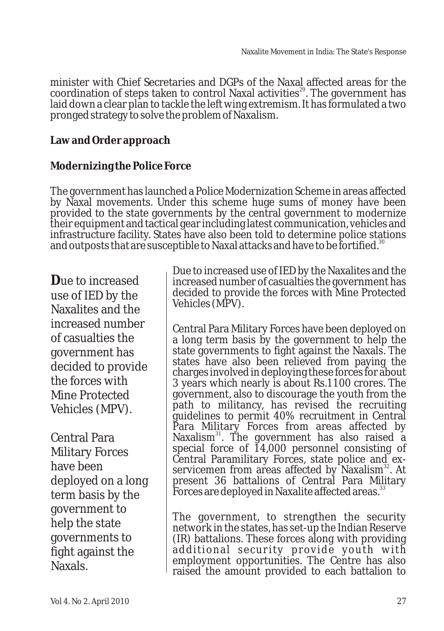minister with Chief Secretaries and DGPs of the Naxal affected areas for the coordination of steps taken to control Naxal activities<sup>29</sup>. The government has laid down a clear plan to tackle the left wing extremism. It has formulated a two pronged strategy to solve the problem of Naxalism.

**Law and Order approach**

**Modernizing the Police Force**

The government has launched a Police Modernization Scheme in areas affected by Naxal movements. Under this scheme huge sums of money have been provided to the state governments by the central government to modernize their equipment and tactical gear including latest communication, vehicles and infrastructure facility. States have also been told to determine police stations and outposts that are susceptible to Naxal attacks and have to be fortified.<sup>30</sup>

**D**ue to increased use of IED by the Naxalites and the increased number of casualties the government has decided to provide the forces with Mine Protected Vehicles (MPV).

Central Para Military Forces have been deployed on a long term basis by the government to help the state governments to fight against the Naxals.

Due to increased use of IED by the Naxalites and the increased number of casualties the government has decided to provide the forces with Mine Protected Vehicles (MPV).

Central Para Military Forces have been deployed on a long term basis by the government to help the state governments to fight against the Naxals. The states have also been relieved from paying the charges involved in deploying these forces for about 3 years which nearly is about Rs.1100 crores. The government, also to discourage the youth from the path to militancy, has revised the recruiting guidelines to permit 40% recruitment in Central Para Military Forces from areas affected by Naxalism<sup>31</sup>. The government has also raised a special force of 14,000 personnel consisting of Central Paramilitary Forces, state police and exservicemen from areas affected by Naxalism<sup>32</sup>. At present 36 battalions of Central Para Military Forces are deployed in Naxalite affected areas.<sup>37</sup>

The government, to strengthen the security network in the states, has set-up the Indian Reserve (IR) battalions. These forces along with providing additional security provide youth with employment opportunities. The Centre has also raised the amount provided to each battalion to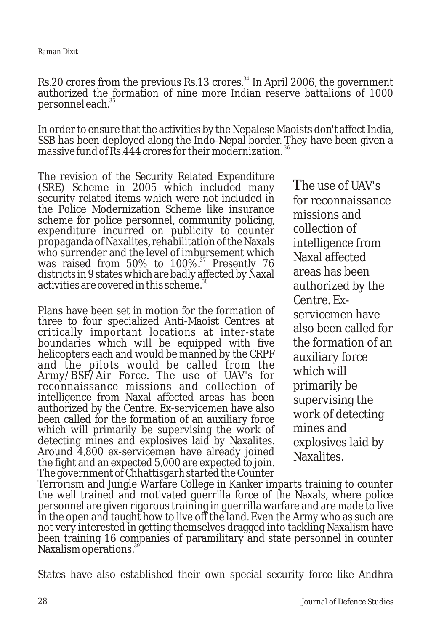Rs.20 crores from the previous Rs.13 crores. $^{34}$  In April 2006, the government authorized the formation of nine more Indian reserve battalions of 1000 <sup>35</sup> personnel each.

In order to ensure that the activities by the Nepalese Maoists don't affect India, SSB has been deployed along the Indo-Nepal border. They have been given a massive fund of  $\overline{Rs}$ .444 crores for their modernization.<sup>36</sup>

The revision of the Security Related Expenditure (SRE) Scheme in 2005 which included many security related items which were not included in the Police Modernization Scheme like insurance scheme for police personnel, community policing, expenditure incurred on publicity to counter propaganda of Naxalites, rehabilitation of the Naxals who surrender and the level of imbursement which was raised from  $50\%$  to  $100\%$ .<sup>37</sup> Presently 76 districts in 9 states which are badly affected by Naxal activities are covered in this scheme.<sup>38</sup>

Plans have been set in motion for the formation of three to four specialized Anti-Maoist Centres at critically important locations at inter-state boundaries which will be equipped with five helicopters each and would be manned by the CRPF and the pilots would be called from the Army/BSF/Air Force. The use of UAV's for reconnaissance missions and collection of intelligence from Naxal affected areas has been authorized by the Centre. Ex-servicemen have also been called for the formation of an auxiliary force which will primarily be supervising the work of detecting mines and explosives laid by Naxalites. Around 4,800 ex-servicemen have already joined the fight and an expected 5,000 are expected to join. The government of Chhattisgarh started the Counter

**T**he use of UAV's for reconnaissance missions and collection of intelligence from Naxal affected areas has been authorized by the Centre. Exservicemen have also been called for the formation of an auxiliary force which will primarily be supervising the work of detecting mines and explosives laid by Naxalites.

Terrorism and Jungle Warfare College in Kanker imparts training to counter the well trained and motivated guerrilla force of the Naxals, where police personnel are given rigorous training in guerrilla warfare and are made to live in the open and taught how to live off the land. Even the Army who as such are not very interested in getting themselves dragged into tackling Naxalism have been training 16 companies of paramilitary and state personnel in counter Naxalism operations.<sup>36</sup>

States have also established their own special security force like Andhra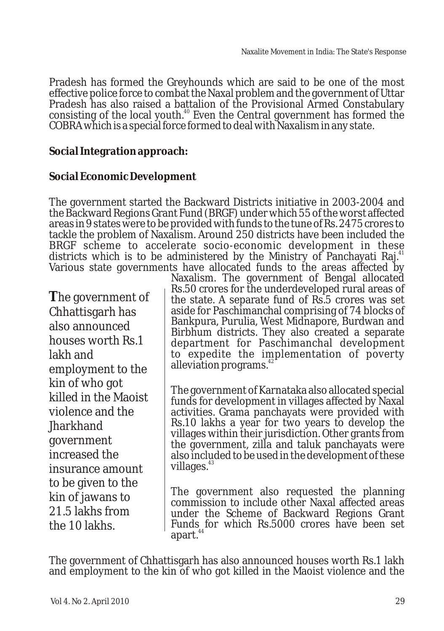Pradesh has formed the Greyhounds which are said to be one of the most effective police force to combat the Naxal problem and the government of Uttar Pradesh has also raised a battalion of the Provisional Armed Constabulary consisting of the local youth.<sup>40</sup> Even the Central government has formed the COBRA which is a special force formed to deal with Naxalism in any state.

**Social Integration approach:**

#### **Social Economic Development**

The government started the Backward Districts initiative in 2003-2004 and the Backward Regions Grant Fund (BRGF) under which 55 of the worst affected areas in 9 states were to be provided with funds to the tune of Rs. 2475 crores to tackle the problem of Naxalism. Around 250 districts have been included the BRGF scheme to accelerate socio-economic development in these districts which is to be administered by the Ministry of Panchayati Raj.<sup>4</sup> Various state governments have allocated funds to the areas affected by

**T**he government of Chhattisgarh has also announced houses worth Rs.1 lakh and employment to the kin of who got killed in the Maoist violence and the Jharkhand government increased the insurance amount to be given to the kin of jawans to 21.5 lakhs from the 10 lakhs.

Naxalism. The government of Bengal allocated Rs.50 crores for the underdeveloped rural areas of the state. A separate fund of Rs.5 crores was set aside for Paschimanchal comprising of 74 blocks of Bankpura, Purulia, West Midnapore, Burdwan and Birbhum districts. They also created a separate department for Paschimanchal development to expedite the implementation of poverty alleviation programs. $4$ 

The government of Karnataka also allocated special funds for development in villages affected by Naxal activities. Grama panchayats were provided with Rs.10 lakhs a year for two years to develop the villages within their jurisdiction. Other grants from the government, zilla and taluk panchayats were also included to be used in the development of these villages. $43$ 

The government also requested the planning commission to include other Naxal affected areas under the Scheme of Backward Regions Grant Funds for which Rs.5000 crores have been set apart.<sup>44</sup>

The government of Chhattisgarh has also announced houses worth Rs.1 lakh and employment to the kin of who got killed in the Maoist violence and the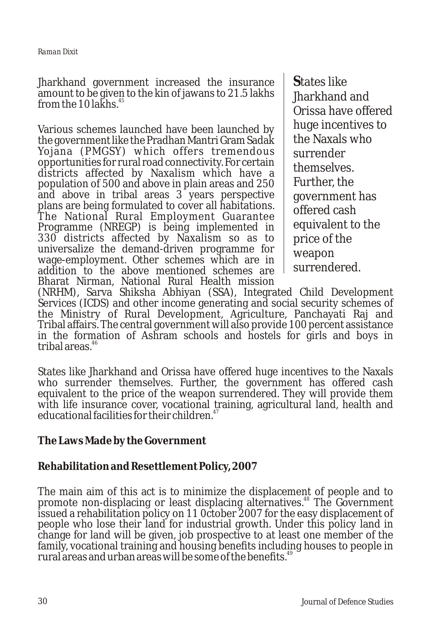Jharkhand government increased the insurance amount to be given to the kin of jawans to 21.5 lakhs from the 10 lakhs. $4$ 

Various schemes launched have been launched by the government like the Pradhan Mantri Gram Sadak Yojana (PMGSY) which offers tremendous opportunities for rural road connectivity. For certain districts affected by Naxalism which have a population of 500 and above in plain areas and 250 and above in tribal areas 3 years perspective plans are being formulated to cover all habitations. The National Rural Employment Guarantee Programme (NREGP) is being implemented in 330 districts affected by Naxalism so as to universalize the demand-driven programme for wage-employment. Other schemes which are in addition to the above mentioned schemes are Bharat Nirman, National Rural Health mission

**S**tates like Jharkhand and Orissa have offered huge incentives to the Naxals who surrender themselves. Further, the government has offered cash equivalent to the price of the weapon surrendered.

(NRHM), Sarva Shiksha Abhiyan (SSA), Integrated Child Development Services (ICDS) and other income generating and social security schemes of the Ministry of Rural Development, Agriculture, Panchayati Raj and Tribal affairs. The central government will also provide 100 percent assistance in the formation of Ashram schools and hostels for girls and boys in tribal areas. $46$ 

States like Jharkhand and Orissa have offered huge incentives to the Naxals who surrender themselves. Further, the government has offered cash equivalent to the price of the weapon surrendered. They will provide them with life insurance cover, vocational training, agricultural land, health and educational facilities for their children.<sup>47</sup>

**The Laws Made by the Government**

#### **Rehabilitation and Resettlement Policy, 2007**

The main aim of this act is to minimize the displacement of people and to promote non-displacing or least displacing alternatives.<sup>48</sup> The Government issued a rehabilitation policy on 11 0ctober 2007 for the easy displacement of people who lose their land for industrial growth. Under this policy land in change for land will be given, job prospective to at least one member of the family, vocational training and housing benefits including houses to people in rural areas and urban areas will be some of the benefits.<sup>49</sup>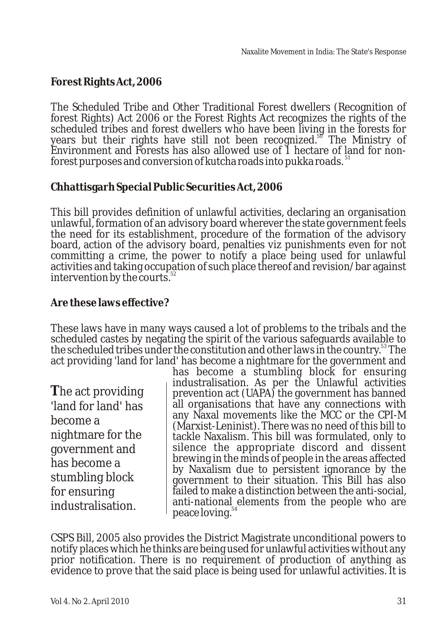# **Forest Rights Act, 2006**

The Scheduled Tribe and Other Traditional Forest dwellers (Recognition of forest Rights) Act 2006 or the Forest Rights Act recognizes the rights of the scheduled tribes and forest dwellers who have been living in the forests for<br>years but their rights have still not been recognized.<sup>86</sup> The Ministry of Environment and Forests has also allowed use of 1 hectare of land for nonforest purposes and conversion of kutcha roads into pukka roads.<sup>51</sup>

#### **Chhattisgarh Special Public Securities Act, 2006**

This bill provides definition of unlawful activities, declaring an organisation unlawful, formation of an advisory board wherever the state government feels the need for its establishment, procedure of the formation of the advisory board, action of the advisory board, penalties viz punishments even for not committing a crime, the power to notify a place being used for unlawful activities and taking occupation of such place thereof and revision/bar against intervention by the courts. $^{\circ}$ 

## **Are these laws effective?**

These laws have in many ways caused a lot of problems to the tribals and the scheduled castes by negating the spirit of the various safeguards available to the scheduled tribes under the constitution and other laws in the country.<sup>53</sup> The act providing 'land for land' has become a nightmare for the government and

**T**he act providing 'land for land' has become a nightmare for the government and has become a stumbling block for ensuring industralisation.

has become a stumbling block for ensuring industralisation. As per the Unlawful activities prevention act (UAPA) the government has banned all organisations that have any connections with any Naxal movements like the MCC or the CPI-M (Marxist-Leninist). There was no need of this bill to tackle Naxalism. This bill was formulated, only to silence the appropriate discord and dissent brewing in the minds of people in the areas affected by Naxalism due to persistent ignorance by the government to their situation. This Bill has also failed to make a distinction between the anti-social, anti-national elements from the people who are peace loving.<sup>54</sup>

CSPS Bill, 2005 also provides the District Magistrate unconditional powers to notify places which he thinks are being used for unlawful activities without any prior notification. There is no requirement of production of anything as evidence to prove that the said place is being used for unlawful activities. It is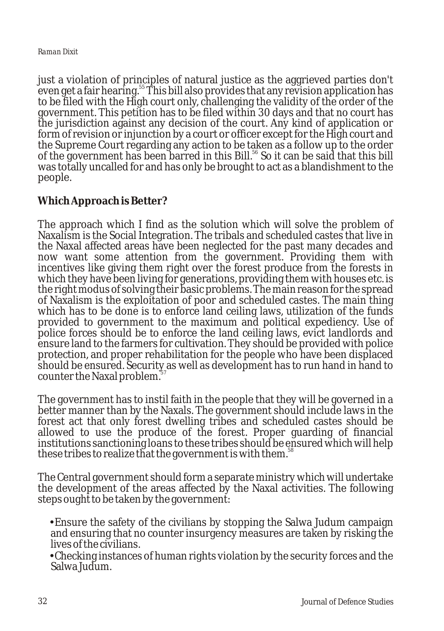#### *Raman Dixit*

just a violation of principles of natural justice as the aggrieved parties don't even get a fair hearing.<sup>55</sup> This bill also provides that any revision application has to be filed with the High court only, challenging the validity of the order of the government. This petition has to be filed within 30 days and that no court has the jurisdiction against any decision of the court. Any kind of application or form of revision or injunction by a court or officer except for the High court and the Supreme Court regarding any action to be taken as a follow up to the order of the government has been barred in this Bill.<sup>56</sup> So it can be said that this bill was totally uncalled for and has only be brought to act as a blandishment to the people.

#### **Which Approach is Better?**

The approach which I find as the solution which will solve the problem of Naxalism is the Social Integration. The tribals and scheduled castes that live in the Naxal affected areas have been neglected for the past many decades and now want some attention from the government. Providing them with incentives like giving them right over the forest produce from the forests in which they have been living for generations, providing them with houses etc. is the right modus of solving their basic problems. The main reason for the spread of Naxalism is the exploitation of poor and scheduled castes. The main thing which has to be done is to enforce land ceiling laws, utilization of the funds provided to government to the maximum and political expediency. Use of police forces should be to enforce the land ceiling laws, evict landlords and ensure land to the farmers for cultivation. They should be provided with police protection, and proper rehabilitation for the people who have been displaced should be ensured. Security as well as development has to run hand in hand to counter the Naxal problem.<sup>37</sup>

The government has to instil faith in the people that they will be governed in a better manner than by the Naxals. The government should include laws in the forest act that only forest dwelling tribes and scheduled castes should be allowed to use the produce of the forest. Proper guarding of financial institutions sanctioning loans to these tribes should be ensured which will help these tribes to realize that the government is with them.<sup>58</sup>

The Central government should form a separate ministry which will undertake the development of the areas affected by the Naxal activities. The following

steps ought to be taken by the government:<br>Ensure the safety of the civilians by st Ensure the safety of the civilians by stopping the Salwa Judum campaign and ensuring that no counter insurgency measures are taken by risking the

lives of the civilians.<br>•Checking instances of human rights violation by the security forces and the Salwa Judum.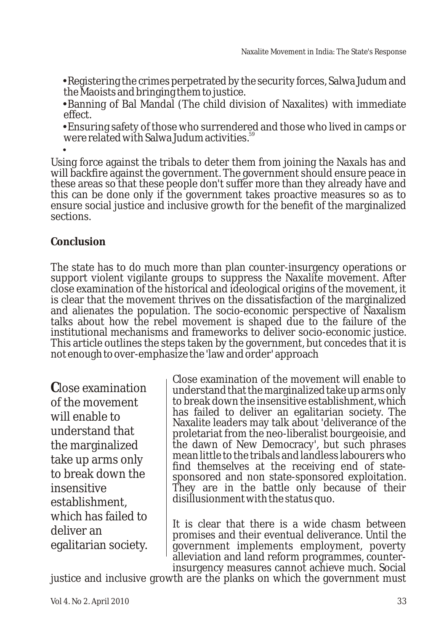?Registering the crimes perpetrated by the security forces, Salwa Judum and

?the Maoists and bringing them to justice. Banning of Bal Mandal (The child division of Naxalites) with immediate

?effect. Ensuring safety of those who surrendered and those who lived in camps or were related with Salwa Judum activities.<sup>59</sup><br>•

Using force against the tribals to deter them from joining the Naxals has and will backfire against the government. The government should ensure peace in these areas so that these people don't suffer more than they already have and this can be done only if the government takes proactive measures so as to ensure social justice and inclusive growth for the benefit of the marginalized sections.

# **Conclusion**

The state has to do much more than plan counter-insurgency operations or support violent vigilante groups to suppress the Naxalite movement. After close examination of the historical and ideological origins of the movement, it is clear that the movement thrives on the dissatisfaction of the marginalized and alienates the population. The socio-economic perspective of Naxalism talks about how the rebel movement is shaped due to the failure of the institutional mechanisms and frameworks to deliver socio-economic justice. This article outlines the steps taken by the government, but concedes that it is not enough to over-emphasize the 'law and order' approach

**C**lose examination of the movement will enable to understand that the marginalized take up arms only to break down the insensitive establishment, which has failed to deliver an egalitarian society.

Close examination of the movement will enable to understand that the marginalizedtake up arms only to break down the insensitive establishment, which has failed to deliver an egalitarian society. The Naxalite leaders may talk about 'deliverance of the proletariat from the neo-liberalist bourgeoisie, and the dawn of New Democracy', but such phrases mean little to the tribals and landless labourers who find themselves at the receiving end of statesponsored and non state-sponsored exploitation. They are in the battle only because of their disillusionment with the status quo.

It is clear that there is a wide chasm between promises and their eventual deliverance. Until the government implements employment, poverty alleviation and land reform programmes, counterinsurgency measures cannot achieve much. Social

justice and inclusive growth are the planks on which the government must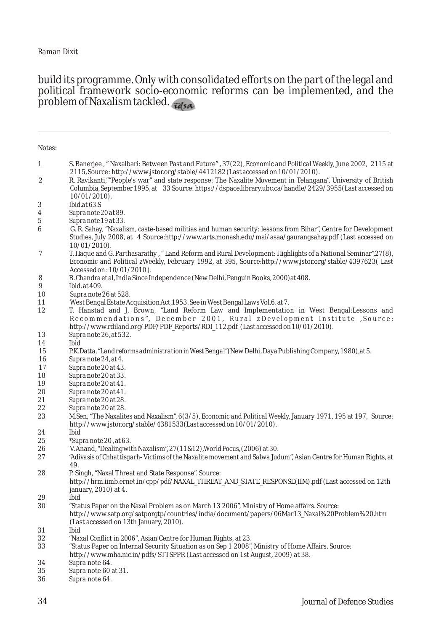#### build its programme. Only with consolidated efforts on the part of the legal and political framework socio-economic reforms can be implemented, and the problem of Naxalism tackled.

| Notes:   |                                                                                                                                                                                                                                                        |
|----------|--------------------------------------------------------------------------------------------------------------------------------------------------------------------------------------------------------------------------------------------------------|
| 1        | S. Banerjee, "Naxalbari: Between Past and Future", 37(22), Economic and Political Weekly, June 2002, 2115 at<br>$2115$ , Source: http://www.jstor.org/stable/4412182 (Last accessed on $10/01/2010$ ).                                                 |
| 2        | R. Ravikanti,""People's war" and state response: The Naxalite Movement in Telangana", University of British<br>Columbia, September 1995, at 33 Source: https://dspace.library.ubc.ca/handle/2429/3955(Last accessed on<br>$10/01/2010$ ).              |
| 3        | Ibid.at $63.S$                                                                                                                                                                                                                                         |
| 4        | Supra note 20 at 89.                                                                                                                                                                                                                                   |
| 5        | Supra note 19 at 33.                                                                                                                                                                                                                                   |
| 6        | G. R. Sahay, "Naxalism, caste-based militias and human security: lessons from Bihar", Centre for Development<br>Studies, July 2008, at 4 Source:http://www.arts.monash.edu/mai/asaa/gaurangsahay.pdf (Last accessed on<br>$10/01/2010$ ).              |
| 7        | T. Haque and G. Parthasarathy, "Land Reform and Rural Development: Highlights of a National Seminar", 27(8),<br>Economic and Political zWeekly, February 1992, at 395, Source:http://www.jstor.org/stable/4397623(Last<br>Accessed on: $10/01/2010$ ). |
|          |                                                                                                                                                                                                                                                        |
| 8<br>9   | B. Chandra et al, India Since Independence (New Delhi, Penguin Books, 2000) at 408.<br><i>Ibid.</i> at 409.                                                                                                                                            |
| 10       | Supranote 26 at 528.                                                                                                                                                                                                                                   |
| 11       | West Bengal Estate Acquisition Act, 1953. See in West Bengal Laws Vol.6. at 7.                                                                                                                                                                         |
| 12       | T. Hanstad and J. Brown, "Land Reform Law and Implementation in West Bengal: Lessons and                                                                                                                                                               |
|          | Recommendations", December 2001, Rural zDevelopment Institute , Source:                                                                                                                                                                                |
|          | http://www.rdiland.org/PDF/PDF_Reports/RDI_112.pdf (Last accessed on 10/01/2010).                                                                                                                                                                      |
| 13       | Supranote 26, at 532.<br><b>Ibid</b>                                                                                                                                                                                                                   |
| 14<br>15 | P.K.Datta, "Land reforms administration in West Bengal" (New Delhi, Daya Publishing Company, 1980), at 5.                                                                                                                                              |
| 16       | Supranote 24, at 4.                                                                                                                                                                                                                                    |
| 17       | Supranote 20 at 43.                                                                                                                                                                                                                                    |
| 18       | Supranote 20 at 33.                                                                                                                                                                                                                                    |
| 19       | Supranote 20 at 41.                                                                                                                                                                                                                                    |
| 20       | Supranote 20 at 41.                                                                                                                                                                                                                                    |
| 21       | Supranote 20 at 28.                                                                                                                                                                                                                                    |
| 22       | Supranote 20 at 28.                                                                                                                                                                                                                                    |
| 23       | M.Sen, "The Naxalites and Naxalism", 6(3/5), <i>Economic and Political Weekly</i> , January 1971, 195 at 197, Source:<br>http://www.jstor.org/stable/4381533(Last accessed on $10/01/2010$ ).                                                          |
| 24       | <b>Ibid</b>                                                                                                                                                                                                                                            |
| 25       | *Supranote 20, at 63.                                                                                                                                                                                                                                  |
| 26       | V. Anand, "Dealing with Naxalism", $27(11&12)$ , <i>World Focus</i> , $(2006)$ at 30.                                                                                                                                                                  |
| 27       | "Adivasis of Chhattisgarh-Victims of the Naxalite movement and Salwa Judum", Asian Centre for Human Rights, at<br>49.                                                                                                                                  |
| 28       | P. Singh, "Naxal Threat and State Response". Source:                                                                                                                                                                                                   |
|          | http://hrm.iimb.ernet.in/cpp/pdf/NAXAL_THREAT_AND_STATE_RESPONSE(IIM).pdf (Last accessed on 12th                                                                                                                                                       |
|          | january, $2010$ ) at 4.                                                                                                                                                                                                                                |
| 29       | <b>Ibid</b>                                                                                                                                                                                                                                            |
| 30       | "Status Paper on the Naxal Problem as on March 13 2006", Ministry of Home affairs. Source:                                                                                                                                                             |
|          | http://www.satp.org/satporgtp/countries/india/document/papers/06Mar13_Naxal%20Problem%20.htm                                                                                                                                                           |
|          | (Last accessed on 13th January, 2010).                                                                                                                                                                                                                 |
| 31       | <b>Ibid</b>                                                                                                                                                                                                                                            |
| 32       | "Naxal Conflict in 2006", Asian Centre for Human Rights, at 23.                                                                                                                                                                                        |
| 33       | "Status Paper on Internal Security Situation as on Sep 1 2008", Ministry of Home Affairs. Source:<br>http://www.mha.nic.in/pdfs/STTSPPR (Last accessed on 1st August, 2009) at 38.                                                                     |
| 34       | Supra note 64.                                                                                                                                                                                                                                         |

- *Supra* note 60 at 31.
- *Supra* note 64.